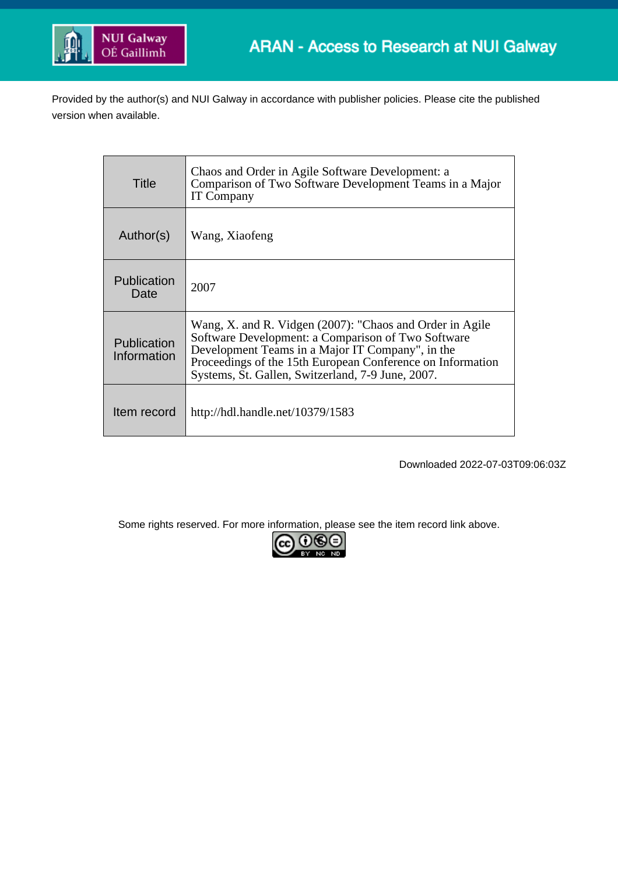

Provided by the author(s) and NUI Galway in accordance with publisher policies. Please cite the published version when available.

| Title                             | Chaos and Order in Agile Software Development: a<br>Comparison of Two Software Development Teams in a Major<br><b>IT Company</b>                                                                                                                                                      |
|-----------------------------------|---------------------------------------------------------------------------------------------------------------------------------------------------------------------------------------------------------------------------------------------------------------------------------------|
| Author(s)                         | Wang, Xiaofeng                                                                                                                                                                                                                                                                        |
| <b>Publication</b><br>Date        | 2007                                                                                                                                                                                                                                                                                  |
| <b>Publication</b><br>Information | Wang, X. and R. Vidgen (2007): "Chaos and Order in Agile<br>Software Development: a Comparison of Two Software<br>Development Teams in a Major IT Company", in the<br>Proceedings of the 15th European Conference on Information<br>Systems, St. Gallen, Switzerland, 7-9 June, 2007. |
| Item record                       | http://hdl.handle.net/10379/1583                                                                                                                                                                                                                                                      |

Downloaded 2022-07-03T09:06:03Z

Some rights reserved. For more information, please see the item record link above.

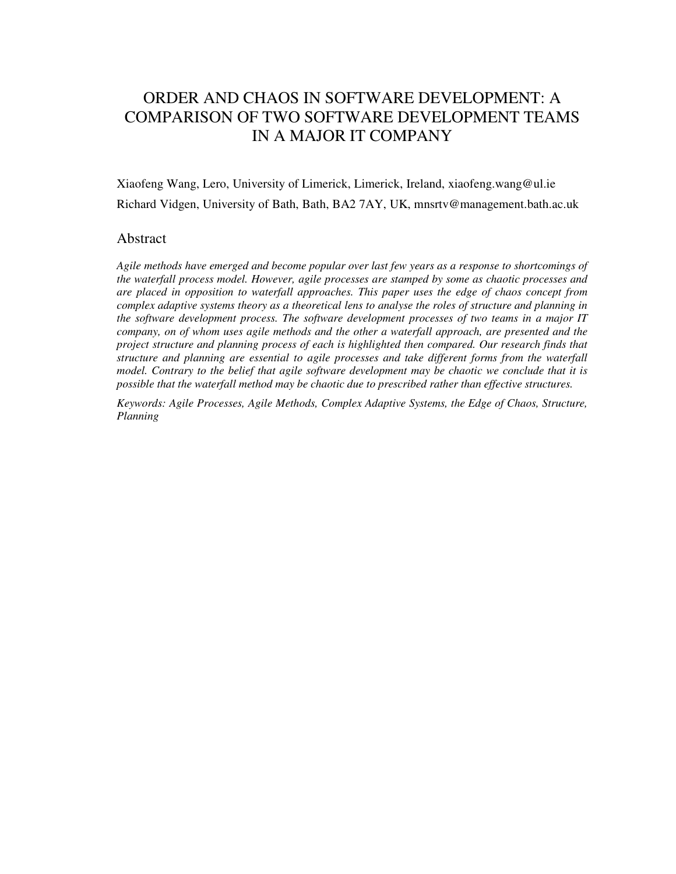# ORDER AND CHAOS IN SOFTWARE DEVELOPMENT: A COMPARISON OF TWO SOFTWARE DEVELOPMENT TEAMS IN A MAJOR IT COMPANY

Xiaofeng Wang, Lero, University of Limerick, Limerick, Ireland, xiaofeng.wang@ul.ie Richard Vidgen, University of Bath, Bath, BA2 7AY, UK, mnsrtv@management.bath.ac.uk

### Abstract

*Agile methods have emerged and become popular over last few years as a response to shortcomings of the waterfall process model. However, agile processes are stamped by some as chaotic processes and are placed in opposition to waterfall approaches. This paper uses the edge of chaos concept from complex adaptive systems theory as a theoretical lens to analyse the roles of structure and planning in the software development process. The software development processes of two teams in a major IT company, on of whom uses agile methods and the other a waterfall approach, are presented and the project structure and planning process of each is highlighted then compared. Our research finds that structure and planning are essential to agile processes and take different forms from the waterfall model. Contrary to the belief that agile software development may be chaotic we conclude that it is possible that the waterfall method may be chaotic due to prescribed rather than effective structures.* 

*Keywords: Agile Processes, Agile Methods, Complex Adaptive Systems, the Edge of Chaos, Structure, Planning*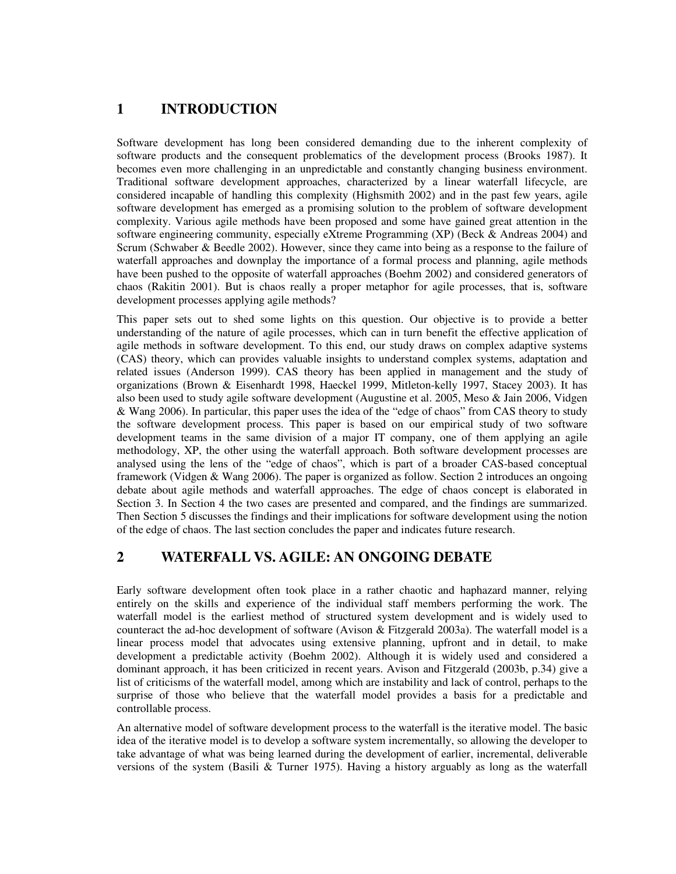## **1 INTRODUCTION**

Software development has long been considered demanding due to the inherent complexity of software products and the consequent problematics of the development process (Brooks 1987). It becomes even more challenging in an unpredictable and constantly changing business environment. Traditional software development approaches, characterized by a linear waterfall lifecycle, are considered incapable of handling this complexity (Highsmith 2002) and in the past few years, agile software development has emerged as a promising solution to the problem of software development complexity. Various agile methods have been proposed and some have gained great attention in the software engineering community, especially eXtreme Programming (XP) (Beck & Andreas 2004) and Scrum (Schwaber & Beedle 2002). However, since they came into being as a response to the failure of waterfall approaches and downplay the importance of a formal process and planning, agile methods have been pushed to the opposite of waterfall approaches (Boehm 2002) and considered generators of chaos (Rakitin 2001). But is chaos really a proper metaphor for agile processes, that is, software development processes applying agile methods?

This paper sets out to shed some lights on this question. Our objective is to provide a better understanding of the nature of agile processes, which can in turn benefit the effective application of agile methods in software development. To this end, our study draws on complex adaptive systems (CAS) theory, which can provides valuable insights to understand complex systems, adaptation and related issues (Anderson 1999). CAS theory has been applied in management and the study of organizations (Brown & Eisenhardt 1998, Haeckel 1999, Mitleton-kelly 1997, Stacey 2003). It has also been used to study agile software development (Augustine et al. 2005, Meso & Jain 2006, Vidgen & Wang 2006). In particular, this paper uses the idea of the "edge of chaos" from CAS theory to study the software development process. This paper is based on our empirical study of two software development teams in the same division of a major IT company, one of them applying an agile methodology, XP, the other using the waterfall approach. Both software development processes are analysed using the lens of the "edge of chaos", which is part of a broader CAS-based conceptual framework (Vidgen & Wang 2006). The paper is organized as follow. Section 2 introduces an ongoing debate about agile methods and waterfall approaches. The edge of chaos concept is elaborated in Section 3. In Section 4 the two cases are presented and compared, and the findings are summarized. Then Section 5 discusses the findings and their implications for software development using the notion of the edge of chaos. The last section concludes the paper and indicates future research.

## **2 WATERFALL VS. AGILE: AN ONGOING DEBATE**

Early software development often took place in a rather chaotic and haphazard manner, relying entirely on the skills and experience of the individual staff members performing the work. The waterfall model is the earliest method of structured system development and is widely used to counteract the ad-hoc development of software (Avison & Fitzgerald 2003a). The waterfall model is a linear process model that advocates using extensive planning, upfront and in detail, to make development a predictable activity (Boehm 2002). Although it is widely used and considered a dominant approach, it has been criticized in recent years. Avison and Fitzgerald (2003b, p.34) give a list of criticisms of the waterfall model, among which are instability and lack of control, perhaps to the surprise of those who believe that the waterfall model provides a basis for a predictable and controllable process.

An alternative model of software development process to the waterfall is the iterative model. The basic idea of the iterative model is to develop a software system incrementally, so allowing the developer to take advantage of what was being learned during the development of earlier, incremental, deliverable versions of the system (Basili & Turner 1975). Having a history arguably as long as the waterfall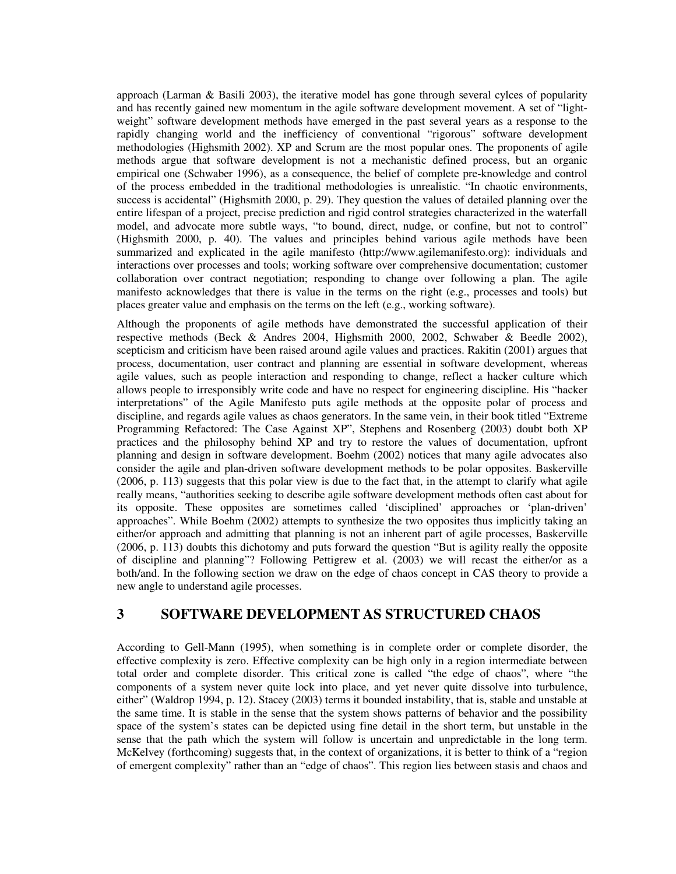approach (Larman & Basili 2003), the iterative model has gone through several cylces of popularity and has recently gained new momentum in the agile software development movement. A set of "lightweight" software development methods have emerged in the past several years as a response to the rapidly changing world and the inefficiency of conventional "rigorous" software development methodologies (Highsmith 2002). XP and Scrum are the most popular ones. The proponents of agile methods argue that software development is not a mechanistic defined process, but an organic empirical one (Schwaber 1996), as a consequence, the belief of complete pre-knowledge and control of the process embedded in the traditional methodologies is unrealistic. "In chaotic environments, success is accidental" (Highsmith 2000, p. 29). They question the values of detailed planning over the entire lifespan of a project, precise prediction and rigid control strategies characterized in the waterfall model, and advocate more subtle ways, "to bound, direct, nudge, or confine, but not to control" (Highsmith 2000, p. 40). The values and principles behind various agile methods have been summarized and explicated in the agile manifesto (http://www.agilemanifesto.org): individuals and interactions over processes and tools; working software over comprehensive documentation; customer collaboration over contract negotiation; responding to change over following a plan. The agile manifesto acknowledges that there is value in the terms on the right (e.g., processes and tools) but places greater value and emphasis on the terms on the left (e.g., working software).

Although the proponents of agile methods have demonstrated the successful application of their respective methods (Beck & Andres 2004, Highsmith 2000, 2002, Schwaber & Beedle 2002), scepticism and criticism have been raised around agile values and practices. Rakitin (2001) argues that process, documentation, user contract and planning are essential in software development, whereas agile values, such as people interaction and responding to change, reflect a hacker culture which allows people to irresponsibly write code and have no respect for engineering discipline. His "hacker interpretations" of the Agile Manifesto puts agile methods at the opposite polar of process and discipline, and regards agile values as chaos generators. In the same vein, in their book titled "Extreme" Programming Refactored: The Case Against XP", Stephens and Rosenberg (2003) doubt both XP practices and the philosophy behind XP and try to restore the values of documentation, upfront planning and design in software development. Boehm (2002) notices that many agile advocates also consider the agile and plan-driven software development methods to be polar opposites. Baskerville (2006, p. 113) suggests that this polar view is due to the fact that, in the attempt to clarify what agile really means, "authorities seeking to describe agile software development methods often cast about for its opposite. These opposites are sometimes called 'disciplined' approaches or 'plan-driven' approaches". While Boehm (2002) attempts to synthesize the two opposites thus implicitly taking an either/or approach and admitting that planning is not an inherent part of agile processes, Baskerville (2006, p. 113) doubts this dichotomy and puts forward the question "But is agility really the opposite of discipline and planning"? Following Pettigrew et al. (2003) we will recast the either/or as a both/and. In the following section we draw on the edge of chaos concept in CAS theory to provide a new angle to understand agile processes.

## **3 SOFTWARE DEVELOPMENT AS STRUCTURED CHAOS**

According to Gell-Mann (1995), when something is in complete order or complete disorder, the effective complexity is zero. Effective complexity can be high only in a region intermediate between total order and complete disorder. This critical zone is called "the edge of chaos", where "the components of a system never quite lock into place, and yet never quite dissolve into turbulence, either" (Waldrop 1994, p. 12). Stacey (2003) terms it bounded instability, that is, stable and unstable at the same time. It is stable in the sense that the system shows patterns of behavior and the possibility space of the system's states can be depicted using fine detail in the short term, but unstable in the sense that the path which the system will follow is uncertain and unpredictable in the long term. McKelvey (forthcoming) suggests that, in the context of organizations, it is better to think of a "region of emergent complexity" rather than an "edge of chaos". This region lies between stasis and chaos and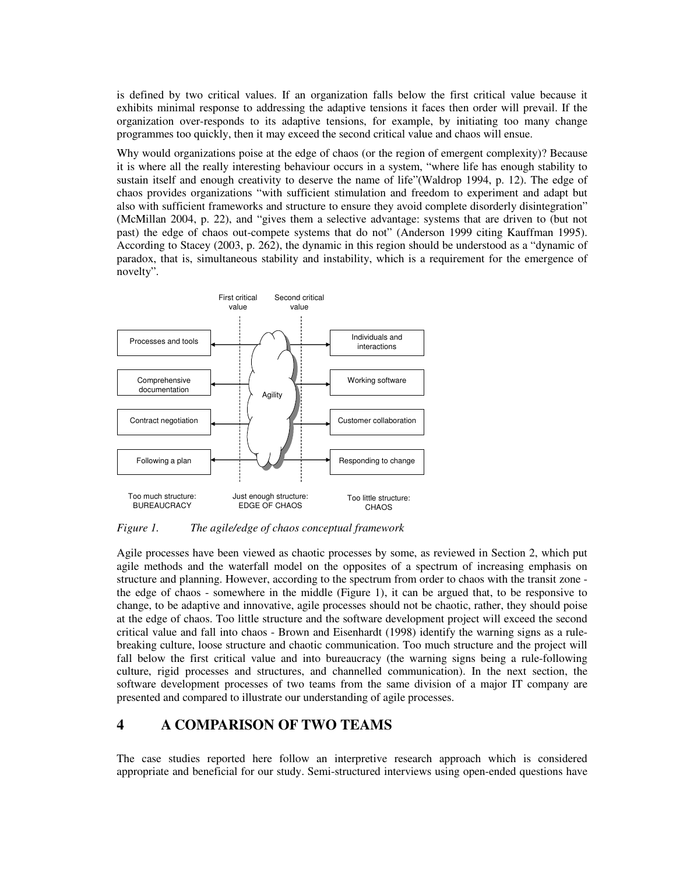is defined by two critical values. If an organization falls below the first critical value because it exhibits minimal response to addressing the adaptive tensions it faces then order will prevail. If the organization over-responds to its adaptive tensions, for example, by initiating too many change programmes too quickly, then it may exceed the second critical value and chaos will ensue.

Why would organizations poise at the edge of chaos (or the region of emergent complexity)? Because it is where all the really interesting behaviour occurs in a system, "where life has enough stability to sustain itself and enough creativity to deserve the name of life"(Waldrop 1994, p. 12). The edge of chaos provides organizations "with sufficient stimulation and freedom to experiment and adapt but also with sufficient frameworks and structure to ensure they avoid complete disorderly disintegration" (McMillan 2004, p. 22), and "gives them a selective advantage: systems that are driven to (but not past) the edge of chaos out-compete systems that do not" (Anderson 1999 citing Kauffman 1995). According to Stacey (2003, p. 262), the dynamic in this region should be understood as a "dynamic of paradox, that is, simultaneous stability and instability, which is a requirement for the emergence of novelty".



*Figure 1. The agile/edge of chaos conceptual framework* 

Agile processes have been viewed as chaotic processes by some, as reviewed in Section 2, which put agile methods and the waterfall model on the opposites of a spectrum of increasing emphasis on structure and planning. However, according to the spectrum from order to chaos with the transit zone the edge of chaos - somewhere in the middle (Figure 1), it can be argued that, to be responsive to change, to be adaptive and innovative, agile processes should not be chaotic, rather, they should poise at the edge of chaos. Too little structure and the software development project will exceed the second critical value and fall into chaos - Brown and Eisenhardt (1998) identify the warning signs as a rulebreaking culture, loose structure and chaotic communication. Too much structure and the project will fall below the first critical value and into bureaucracy (the warning signs being a rule-following culture, rigid processes and structures, and channelled communication). In the next section, the software development processes of two teams from the same division of a major IT company are presented and compared to illustrate our understanding of agile processes.

## **4 A COMPARISON OF TWO TEAMS**

The case studies reported here follow an interpretive research approach which is considered appropriate and beneficial for our study. Semi-structured interviews using open-ended questions have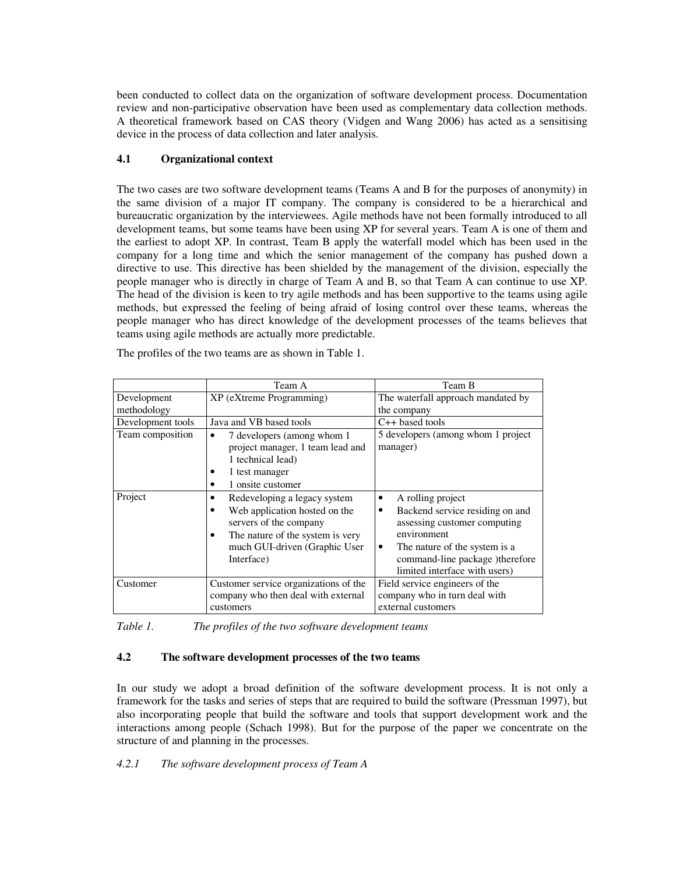been conducted to collect data on the organization of software development process. Documentation review and non-participative observation have been used as complementary data collection methods. A theoretical framework based on CAS theory (Vidgen and Wang 2006) has acted as a sensitising device in the process of data collection and later analysis.

### **4.1 Organizational context**

The two cases are two software development teams (Teams A and B for the purposes of anonymity) in the same division of a major IT company. The company is considered to be a hierarchical and bureaucratic organization by the interviewees. Agile methods have not been formally introduced to all development teams, but some teams have been using XP for several years. Team A is one of them and the earliest to adopt XP. In contrast, Team B apply the waterfall model which has been used in the company for a long time and which the senior management of the company has pushed down a directive to use. This directive has been shielded by the management of the division, especially the people manager who is directly in charge of Team A and B, so that Team A can continue to use XP. The head of the division is keen to try agile methods and has been supportive to the teams using agile methods, but expressed the feeling of being afraid of losing control over these teams, whereas the people manager who has direct knowledge of the development processes of the teams believes that teams using agile methods are actually more predictable.

|                            | Team A                                                                                                                                                                                                    | Team B                                                                                                                                                                                                                  |
|----------------------------|-----------------------------------------------------------------------------------------------------------------------------------------------------------------------------------------------------------|-------------------------------------------------------------------------------------------------------------------------------------------------------------------------------------------------------------------------|
| Development<br>methodology | XP (eXtreme Programming)                                                                                                                                                                                  | The waterfall approach mandated by<br>the company                                                                                                                                                                       |
| Development tools          | Java and VB based tools                                                                                                                                                                                   | $C++$ based tools                                                                                                                                                                                                       |
| Team composition           | 7 developers (among whom 1)<br>$\bullet$<br>project manager, 1 team lead and<br>1 technical lead)<br>1 test manager<br>٠<br>1 onsite customer<br>٠                                                        | 5 developers (among whom 1 project)<br>manager)                                                                                                                                                                         |
| Project                    | Redeveloping a legacy system<br>$\bullet$<br>Web application hosted on the<br>٠<br>servers of the company<br>The nature of the system is very<br>$\bullet$<br>much GUI-driven (Graphic User<br>Interface) | A rolling project<br>٠<br>Backend service residing on and<br>٠<br>assessing customer computing<br>environment<br>The nature of the system is a<br>٠<br>command-line package )therefore<br>limited interface with users) |
| Customer                   | Customer service organizations of the<br>company who then deal with external<br>customers                                                                                                                 | Field service engineers of the<br>company who in turn deal with<br>external customers                                                                                                                                   |

The profiles of the two teams are as shown in Table 1.

*Table 1. The profiles of the two software development teams* 

### **4.2 The software development processes of the two teams**

In our study we adopt a broad definition of the software development process. It is not only a framework for the tasks and series of steps that are required to build the software (Pressman 1997), but also incorporating people that build the software and tools that support development work and the interactions among people (Schach 1998). But for the purpose of the paper we concentrate on the structure of and planning in the processes.

*4.2.1 The software development process of Team A*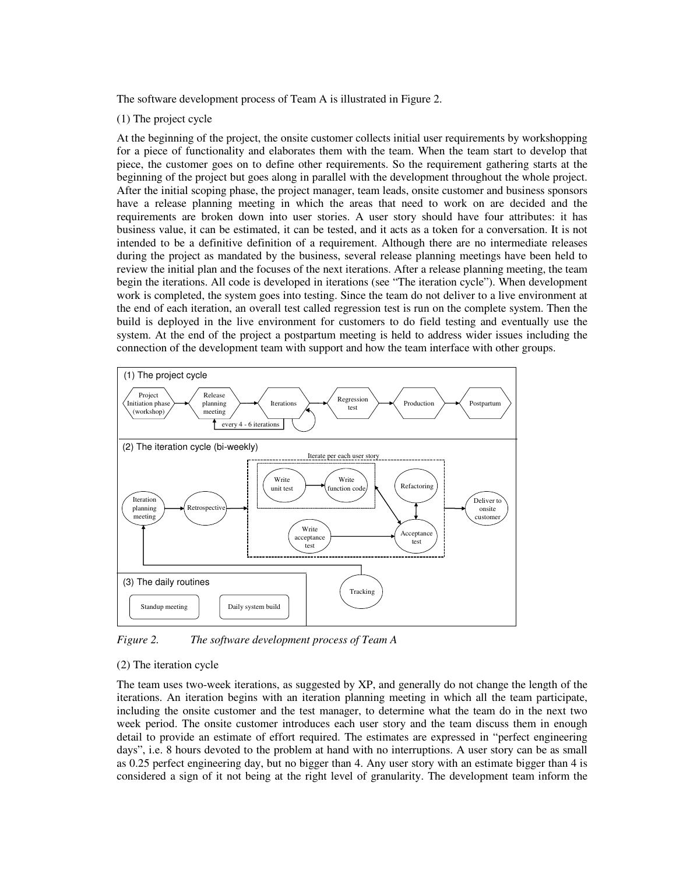The software development process of Team A is illustrated in Figure 2.

#### (1) The project cycle

At the beginning of the project, the onsite customer collects initial user requirements by workshopping for a piece of functionality and elaborates them with the team. When the team start to develop that piece, the customer goes on to define other requirements. So the requirement gathering starts at the beginning of the project but goes along in parallel with the development throughout the whole project. After the initial scoping phase, the project manager, team leads, onsite customer and business sponsors have a release planning meeting in which the areas that need to work on are decided and the requirements are broken down into user stories. A user story should have four attributes: it has business value, it can be estimated, it can be tested, and it acts as a token for a conversation. It is not intended to be a definitive definition of a requirement. Although there are no intermediate releases during the project as mandated by the business, several release planning meetings have been held to review the initial plan and the focuses of the next iterations. After a release planning meeting, the team begin the iterations. All code is developed in iterations (see "The iteration cycle"). When development work is completed, the system goes into testing. Since the team do not deliver to a live environment at the end of each iteration, an overall test called regression test is run on the complete system. Then the build is deployed in the live environment for customers to do field testing and eventually use the system. At the end of the project a postpartum meeting is held to address wider issues including the connection of the development team with support and how the team interface with other groups.



*Figure 2. The software development process of Team A* 

#### (2) The iteration cycle

The team uses two-week iterations, as suggested by XP, and generally do not change the length of the iterations. An iteration begins with an iteration planning meeting in which all the team participate, including the onsite customer and the test manager, to determine what the team do in the next two week period. The onsite customer introduces each user story and the team discuss them in enough detail to provide an estimate of effort required. The estimates are expressed in "perfect engineering days", i.e. 8 hours devoted to the problem at hand with no interruptions. A user story can be as small as 0.25 perfect engineering day, but no bigger than 4. Any user story with an estimate bigger than 4 is considered a sign of it not being at the right level of granularity. The development team inform the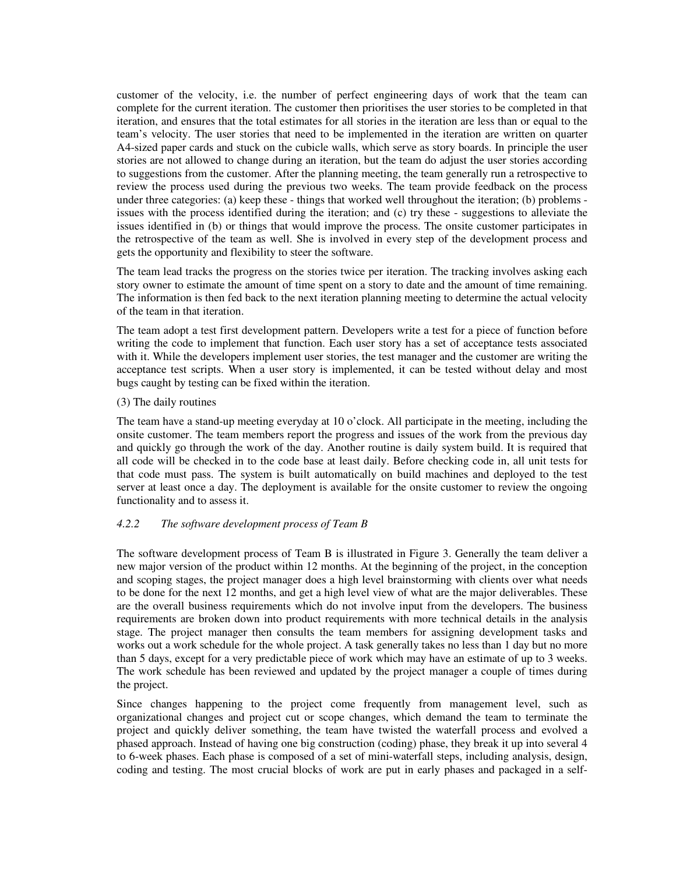customer of the velocity, i.e. the number of perfect engineering days of work that the team can complete for the current iteration. The customer then prioritises the user stories to be completed in that iteration, and ensures that the total estimates for all stories in the iteration are less than or equal to the team's velocity. The user stories that need to be implemented in the iteration are written on quarter A4-sized paper cards and stuck on the cubicle walls, which serve as story boards. In principle the user stories are not allowed to change during an iteration, but the team do adjust the user stories according to suggestions from the customer. After the planning meeting, the team generally run a retrospective to review the process used during the previous two weeks. The team provide feedback on the process under three categories: (a) keep these - things that worked well throughout the iteration; (b) problems issues with the process identified during the iteration; and (c) try these - suggestions to alleviate the issues identified in (b) or things that would improve the process. The onsite customer participates in the retrospective of the team as well. She is involved in every step of the development process and gets the opportunity and flexibility to steer the software.

The team lead tracks the progress on the stories twice per iteration. The tracking involves asking each story owner to estimate the amount of time spent on a story to date and the amount of time remaining. The information is then fed back to the next iteration planning meeting to determine the actual velocity of the team in that iteration.

The team adopt a test first development pattern. Developers write a test for a piece of function before writing the code to implement that function. Each user story has a set of acceptance tests associated with it. While the developers implement user stories, the test manager and the customer are writing the acceptance test scripts. When a user story is implemented, it can be tested without delay and most bugs caught by testing can be fixed within the iteration.

#### (3) The daily routines

The team have a stand-up meeting everyday at 10 o'clock. All participate in the meeting, including the onsite customer. The team members report the progress and issues of the work from the previous day and quickly go through the work of the day. Another routine is daily system build. It is required that all code will be checked in to the code base at least daily. Before checking code in, all unit tests for that code must pass. The system is built automatically on build machines and deployed to the test server at least once a day. The deployment is available for the onsite customer to review the ongoing functionality and to assess it.

### *4.2.2 The software development process of Team B*

The software development process of Team B is illustrated in Figure 3. Generally the team deliver a new major version of the product within 12 months. At the beginning of the project, in the conception and scoping stages, the project manager does a high level brainstorming with clients over what needs to be done for the next 12 months, and get a high level view of what are the major deliverables. These are the overall business requirements which do not involve input from the developers. The business requirements are broken down into product requirements with more technical details in the analysis stage. The project manager then consults the team members for assigning development tasks and works out a work schedule for the whole project. A task generally takes no less than 1 day but no more than 5 days, except for a very predictable piece of work which may have an estimate of up to 3 weeks. The work schedule has been reviewed and updated by the project manager a couple of times during the project.

Since changes happening to the project come frequently from management level, such as organizational changes and project cut or scope changes, which demand the team to terminate the project and quickly deliver something, the team have twisted the waterfall process and evolved a phased approach. Instead of having one big construction (coding) phase, they break it up into several 4 to 6-week phases. Each phase is composed of a set of mini-waterfall steps, including analysis, design, coding and testing. The most crucial blocks of work are put in early phases and packaged in a self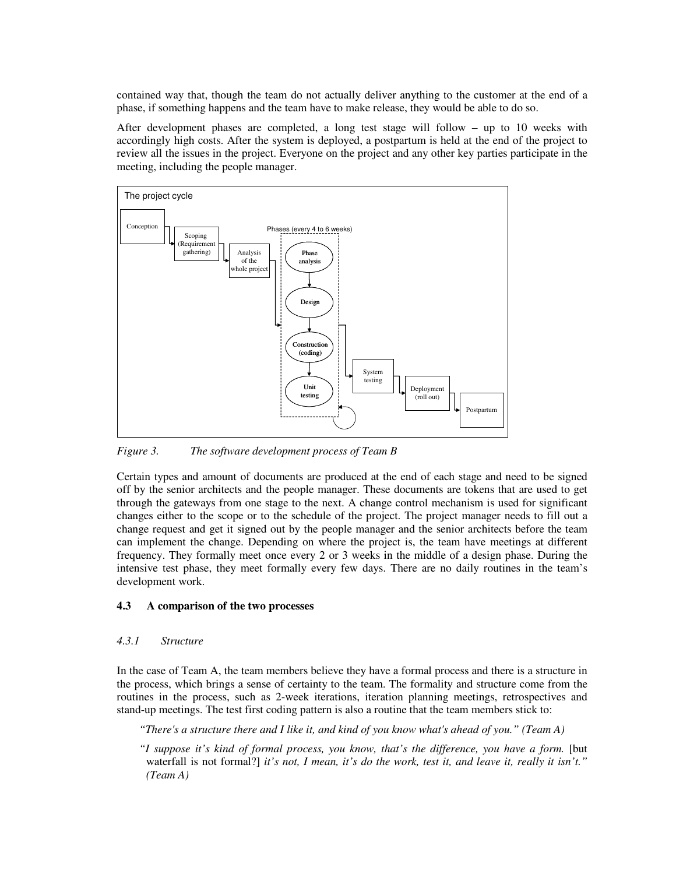contained way that, though the team do not actually deliver anything to the customer at the end of a phase, if something happens and the team have to make release, they would be able to do so.

After development phases are completed, a long test stage will follow – up to 10 weeks with accordingly high costs. After the system is deployed, a postpartum is held at the end of the project to review all the issues in the project. Everyone on the project and any other key parties participate in the meeting, including the people manager.



*Figure 3. The software development process of Team B* 

Certain types and amount of documents are produced at the end of each stage and need to be signed off by the senior architects and the people manager. These documents are tokens that are used to get through the gateways from one stage to the next. A change control mechanism is used for significant changes either to the scope or to the schedule of the project. The project manager needs to fill out a change request and get it signed out by the people manager and the senior architects before the team can implement the change. Depending on where the project is, the team have meetings at different frequency. They formally meet once every 2 or 3 weeks in the middle of a design phase. During the intensive test phase, they meet formally every few days. There are no daily routines in the team's development work.

#### **4.3 A comparison of the two processes**

#### *4.3.1 Structure*

In the case of Team A, the team members believe they have a formal process and there is a structure in the process, which brings a sense of certainty to the team. The formality and structure come from the routines in the process, such as 2-week iterations, iteration planning meetings, retrospectives and stand-up meetings. The test first coding pattern is also a routine that the team members stick to:

*"There's a structure there and I like it, and kind of you know what's ahead of you." (Team A)* 

*"I suppose it's kind of formal process, you know, that's the difference, you have a form.* [but waterfall is not formal?] *it's not, I mean, it's do the work, test it, and leave it, really it isn't." (Team A)*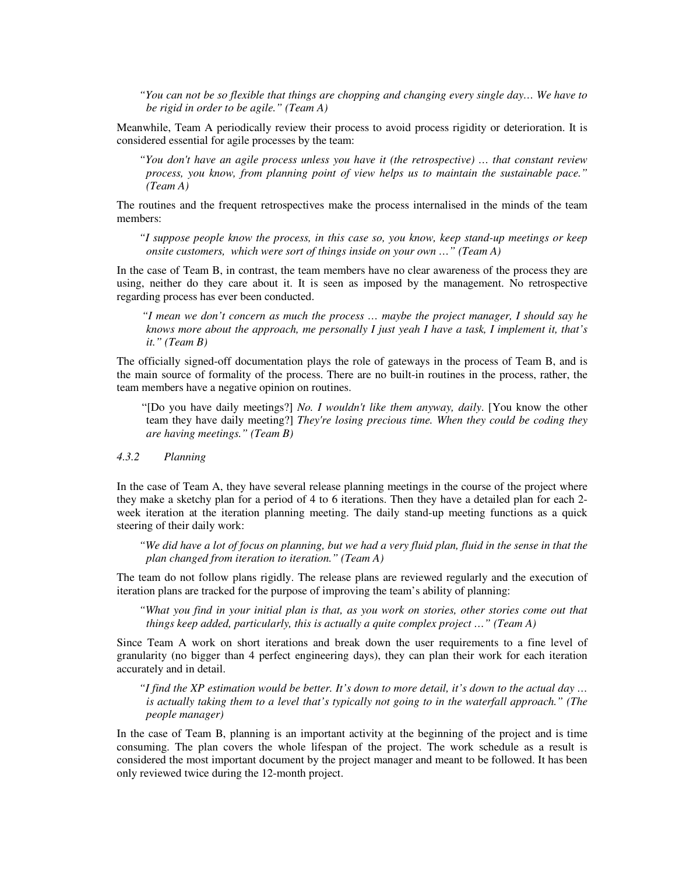*"You can not be so flexible that things are chopping and changing every single day… We have to be rigid in order to be agile." (Team A)* 

Meanwhile, Team A periodically review their process to avoid process rigidity or deterioration. It is considered essential for agile processes by the team:

*"You don't have an agile process unless you have it (the retrospective) … that constant review process, you know, from planning point of view helps us to maintain the sustainable pace." (Team A)* 

The routines and the frequent retrospectives make the process internalised in the minds of the team members:

*"I suppose people know the process, in this case so, you know, keep stand-up meetings or keep onsite customers, which were sort of things inside on your own …" (Team A)* 

In the case of Team B, in contrast, the team members have no clear awareness of the process they are using, neither do they care about it. It is seen as imposed by the management. No retrospective regarding process has ever been conducted.

 *"I mean we don't concern as much the process … maybe the project manager, I should say he knows more about the approach, me personally I just yeah I have a task, I implement it, that's it." (Team B)* 

The officially signed-off documentation plays the role of gateways in the process of Team B, and is the main source of formality of the process. There are no built-in routines in the process, rather, the team members have a negative opinion on routines.

 "[Do you have daily meetings?] *No. I wouldn't like them anyway, daily*. [You know the other team they have daily meeting?] *They're losing precious time. When they could be coding they are having meetings." (Team B)* 

*4.3.2 Planning* 

In the case of Team A, they have several release planning meetings in the course of the project where they make a sketchy plan for a period of 4 to 6 iterations. Then they have a detailed plan for each 2 week iteration at the iteration planning meeting. The daily stand-up meeting functions as a quick steering of their daily work:

*"We did have a lot of focus on planning, but we had a very fluid plan, fluid in the sense in that the plan changed from iteration to iteration." (Team A)* 

The team do not follow plans rigidly. The release plans are reviewed regularly and the execution of iteration plans are tracked for the purpose of improving the team's ability of planning:

*"What you find in your initial plan is that, as you work on stories, other stories come out that things keep added, particularly, this is actually a quite complex project …" (Team A)* 

Since Team A work on short iterations and break down the user requirements to a fine level of granularity (no bigger than 4 perfect engineering days), they can plan their work for each iteration accurately and in detail.

*"I find the XP estimation would be better. It's down to more detail, it's down to the actual day … is actually taking them to a level that's typically not going to in the waterfall approach." (The people manager)* 

In the case of Team B, planning is an important activity at the beginning of the project and is time consuming. The plan covers the whole lifespan of the project. The work schedule as a result is considered the most important document by the project manager and meant to be followed. It has been only reviewed twice during the 12-month project.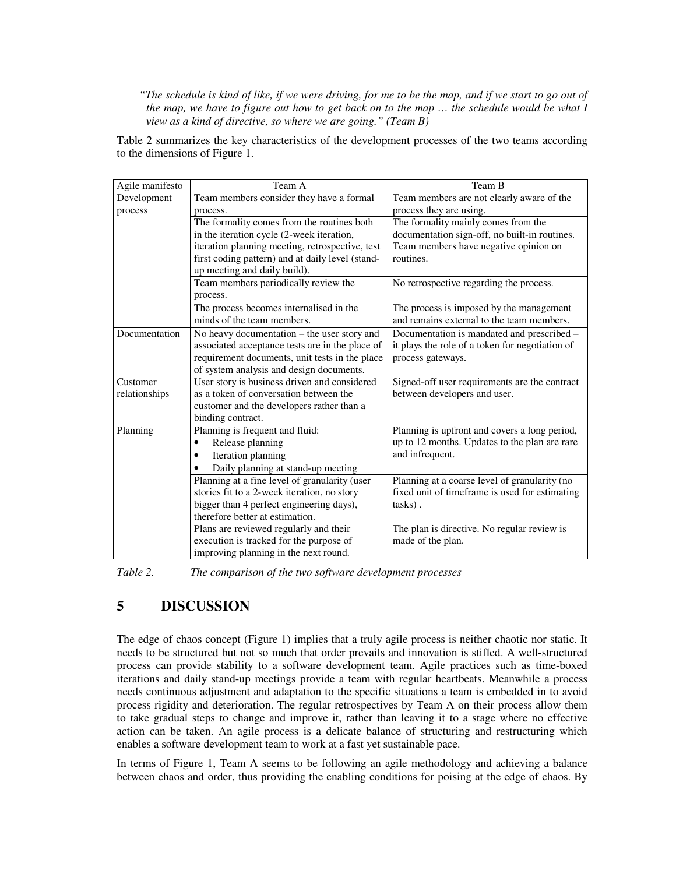*"The schedule is kind of like, if we were driving, for me to be the map, and if we start to go out of the map, we have to figure out how to get back on to the map … the schedule would be what I view as a kind of directive, so where we are going." (Team B)* 

Table 2 summarizes the key characteristics of the development processes of the two teams according to the dimensions of Figure 1.

| Agile manifesto | Team A                                           | Team B                                          |
|-----------------|--------------------------------------------------|-------------------------------------------------|
| Development     | Team members consider they have a formal         | Team members are not clearly aware of the       |
| process         | process.                                         | process they are using.                         |
|                 | The formality comes from the routines both       | The formality mainly comes from the             |
|                 | in the iteration cycle (2-week iteration,        | documentation sign-off, no built-in routines.   |
|                 | iteration planning meeting, retrospective, test  | Team members have negative opinion on           |
|                 | first coding pattern) and at daily level (stand- | routines.                                       |
|                 | up meeting and daily build).                     |                                                 |
|                 | Team members periodically review the             | No retrospective regarding the process.         |
|                 | process.                                         |                                                 |
|                 | The process becomes internalised in the          | The process is imposed by the management        |
|                 | minds of the team members.                       | and remains external to the team members.       |
| Documentation   | No heavy documentation – the user story and      | Documentation is mandated and prescribed -      |
|                 | associated acceptance tests are in the place of  | it plays the role of a token for negotiation of |
|                 | requirement documents, unit tests in the place   | process gateways.                               |
|                 | of system analysis and design documents.         |                                                 |
| Customer        | User story is business driven and considered     | Signed-off user requirements are the contract   |
| relationships   | as a token of conversation between the           | between developers and user.                    |
|                 | customer and the developers rather than a        |                                                 |
|                 | binding contract.                                |                                                 |
| Planning        | Planning is frequent and fluid:                  | Planning is upfront and covers a long period,   |
|                 | Release planning<br>٠                            | up to 12 months. Updates to the plan are rare   |
|                 | Iteration planning                               | and infrequent.                                 |
|                 | Daily planning at stand-up meeting               |                                                 |
|                 | Planning at a fine level of granularity (user    | Planning at a coarse level of granularity (no   |
|                 | stories fit to a 2-week iteration, no story      | fixed unit of timeframe is used for estimating  |
|                 | bigger than 4 perfect engineering days),         | tasks).                                         |
|                 | therefore better at estimation.                  |                                                 |
|                 | Plans are reviewed regularly and their           | The plan is directive. No regular review is     |
|                 | execution is tracked for the purpose of          | made of the plan.                               |
|                 | improving planning in the next round.            |                                                 |

*Table 2. The comparison of the two software development processes* 

## **5 DISCUSSION**

The edge of chaos concept (Figure 1) implies that a truly agile process is neither chaotic nor static. It needs to be structured but not so much that order prevails and innovation is stifled. A well-structured process can provide stability to a software development team. Agile practices such as time-boxed iterations and daily stand-up meetings provide a team with regular heartbeats. Meanwhile a process needs continuous adjustment and adaptation to the specific situations a team is embedded in to avoid process rigidity and deterioration. The regular retrospectives by Team A on their process allow them to take gradual steps to change and improve it, rather than leaving it to a stage where no effective action can be taken. An agile process is a delicate balance of structuring and restructuring which enables a software development team to work at a fast yet sustainable pace.

In terms of Figure 1, Team A seems to be following an agile methodology and achieving a balance between chaos and order, thus providing the enabling conditions for poising at the edge of chaos. By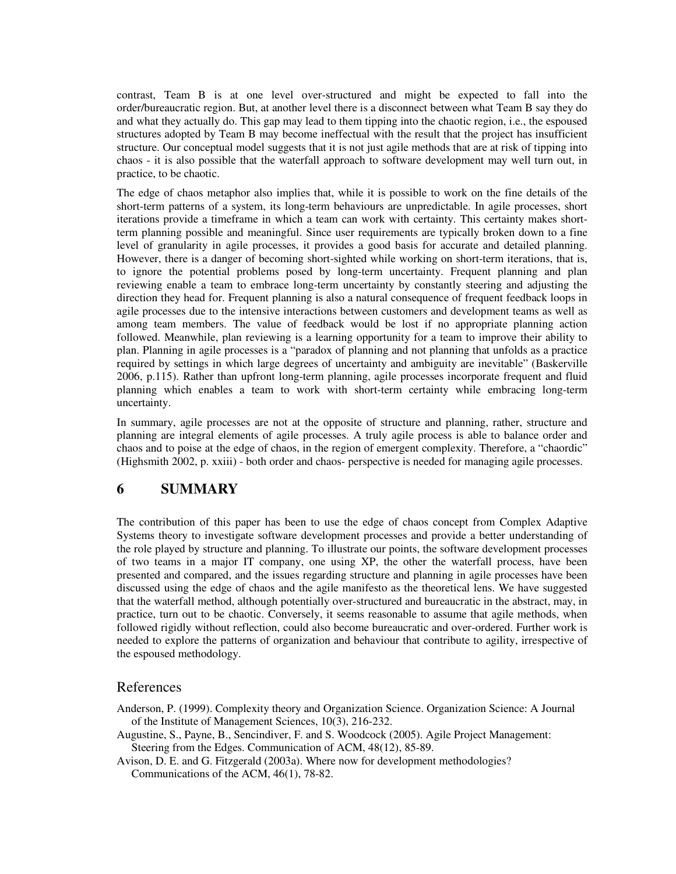contrast, Team B is at one level over-structured and might be expected to fall into the order/bureaucratic region. But, at another level there is a disconnect between what Team B say they do and what they actually do. This gap may lead to them tipping into the chaotic region, i.e., the espoused structures adopted by Team B may become ineffectual with the result that the project has insufficient structure. Our conceptual model suggests that it is not just agile methods that are at risk of tipping into chaos - it is also possible that the waterfall approach to software development may well turn out, in practice, to be chaotic.

The edge of chaos metaphor also implies that, while it is possible to work on the fine details of the short-term patterns of a system, its long-term behaviours are unpredictable. In agile processes, short iterations provide a timeframe in which a team can work with certainty. This certainty makes shortterm planning possible and meaningful. Since user requirements are typically broken down to a fine level of granularity in agile processes, it provides a good basis for accurate and detailed planning. However, there is a danger of becoming short-sighted while working on short-term iterations, that is, to ignore the potential problems posed by long-term uncertainty. Frequent planning and plan reviewing enable a team to embrace long-term uncertainty by constantly steering and adjusting the direction they head for. Frequent planning is also a natural consequence of frequent feedback loops in agile processes due to the intensive interactions between customers and development teams as well as among team members. The value of feedback would be lost if no appropriate planning action followed. Meanwhile, plan reviewing is a learning opportunity for a team to improve their ability to plan. Planning in agile processes is a "paradox of planning and not planning that unfolds as a practice required by settings in which large degrees of uncertainty and ambiguity are inevitable" (Baskerville 2006, p.115). Rather than upfront long-term planning, agile processes incorporate frequent and fluid planning which enables a team to work with short-term certainty while embracing long-term uncertainty.

In summary, agile processes are not at the opposite of structure and planning, rather, structure and planning are integral elements of agile processes. A truly agile process is able to balance order and chaos and to poise at the edge of chaos, in the region of emergent complexity. Therefore, a "chaordic" (Highsmith 2002, p. xxiii) - both order and chaos- perspective is needed for managing agile processes.

## **6 SUMMARY**

The contribution of this paper has been to use the edge of chaos concept from Complex Adaptive Systems theory to investigate software development processes and provide a better understanding of the role played by structure and planning. To illustrate our points, the software development processes of two teams in a major IT company, one using XP, the other the waterfall process, have been presented and compared, and the issues regarding structure and planning in agile processes have been discussed using the edge of chaos and the agile manifesto as the theoretical lens. We have suggested that the waterfall method, although potentially over-structured and bureaucratic in the abstract, may, in practice, turn out to be chaotic. Conversely, it seems reasonable to assume that agile methods, when followed rigidly without reflection, could also become bureaucratic and over-ordered. Further work is needed to explore the patterns of organization and behaviour that contribute to agility, irrespective of the espoused methodology.

### References

- Anderson, P. (1999). Complexity theory and Organization Science. Organization Science: A Journal of the Institute of Management Sciences, 10(3), 216-232.
- Augustine, S., Payne, B., Sencindiver, F. and S. Woodcock (2005). Agile Project Management: Steering from the Edges. Communication of ACM, 48(12), 85-89.
- Avison, D. E. and G. Fitzgerald (2003a). Where now for development methodologies? Communications of the ACM, 46(1), 78-82.